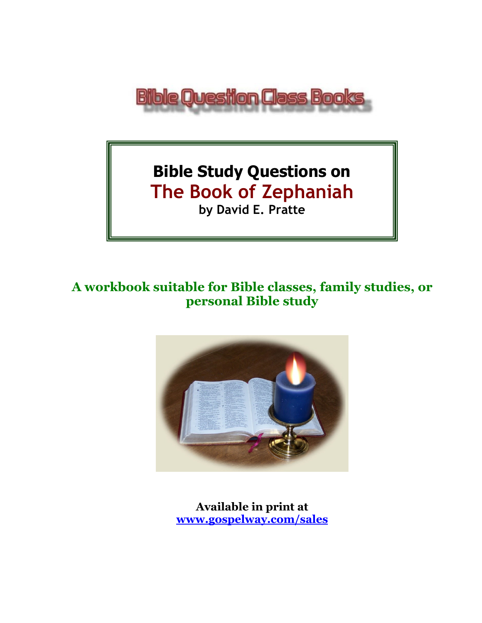

# **Bible Study Questions on The Book of Zephaniah by David E. Pratte**

## **A workbook suitable for Bible classes, family studies, or personal Bible study**



**Available in print at [www.gospelway.com/sales](https://www.gospelway.com/sales)**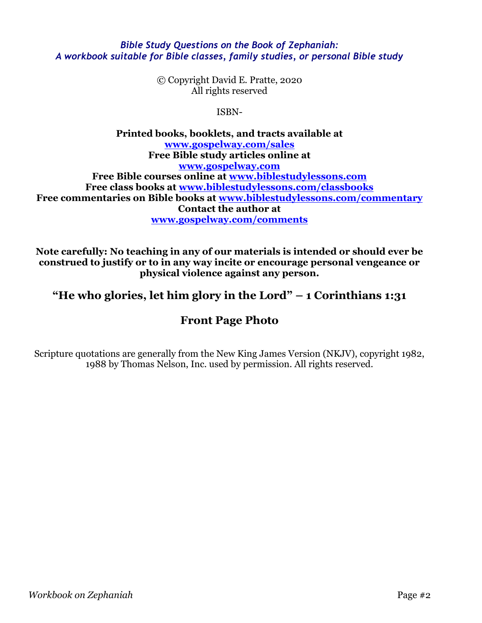#### *Bible Study Questions on the Book of Zephaniah: A workbook suitable for Bible classes, family studies, or personal Bible study*

© Copyright David E. Pratte, 2020 All rights reserved

ISBN-

**Printed books, booklets, and tracts available at [www.gospelway.com/sales](https://www.gospelway.com/sales) Free Bible study articles online at [www.gospelway.com](http://www.gospelway.com/) Free Bible courses online at [www.biblestudylessons.com](http://www.biblestudylessons.com/) Free class books at [www.biblestudylessons.com/classbooks](http://www.biblestudylessons.com/classbooks) Free commentaries on Bible books at [www.biblestudylessons.com/commentary](https://www.biblestudylessons.com/commentary) Contact the author at [www.gospelway.com/comments](http://www.gospelway.com/comments)**

**Note carefully: No teaching in any of our materials is intended or should ever be construed to justify or to in any way incite or encourage personal vengeance or physical violence against any person.**

**"He who glories, let him glory in the Lord" – 1 Corinthians 1:31**

## **Front Page Photo**

Scripture quotations are generally from the New King James Version (NKJV), copyright 1982, 1988 by Thomas Nelson, Inc. used by permission. All rights reserved.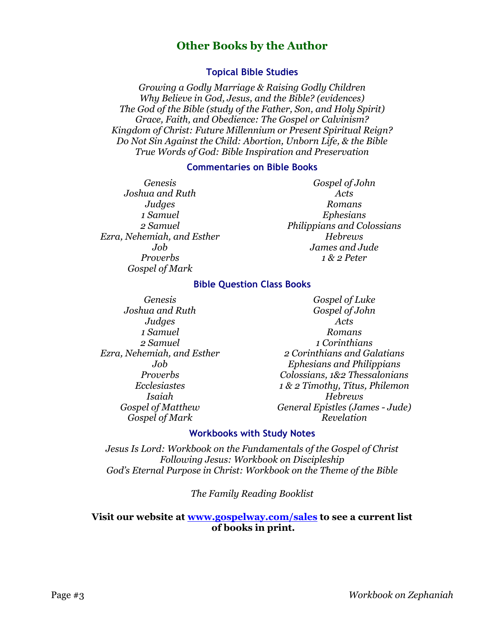## **Other Books by the Author**

#### **Topical Bible Studies**

*Growing a Godly Marriage & Raising Godly Children Why Believe in God, Jesus, and the Bible? (evidences) The God of the Bible (study of the Father, Son, and Holy Spirit) Grace, Faith, and Obedience: The Gospel or Calvinism? Kingdom of Christ: Future Millennium or Present Spiritual Reign? Do Not Sin Against the Child: Abortion, Unborn Life, & the Bible True Words of God: Bible Inspiration and Preservation*

#### **Commentaries on Bible Books**

*Genesis Joshua and Ruth Judges 1 Samuel 2 Samuel Ezra, Nehemiah, and Esther Job Proverbs Gospel of Mark* 

*Gospel of John Acts Romans Ephesians Philippians and Colossians Hebrews James and Jude 1 & 2 Peter*

#### **Bible Question Class Books**

*Genesis Joshua and Ruth Judges 1 Samuel 2 Samuel Ezra, Nehemiah, and Esther Job Proverbs Ecclesiastes Isaiah Gospel of Matthew Gospel of Mark*

*Gospel of Luke Gospel of John Acts Romans 1 Corinthians 2 Corinthians and Galatians Ephesians and Philippians Colossians, 1&2 Thessalonians 1 & 2 Timothy, Titus, Philemon Hebrews General Epistles (James - Jude) Revelation*

#### **Workbooks with Study Notes**

*Jesus Is Lord: Workbook on the Fundamentals of the Gospel of Christ Following Jesus: Workbook on Discipleship God's Eternal Purpose in Christ: Workbook on the Theme of the Bible*

*The Family Reading Booklist*

#### **Visit our website at [www.gospelway.com/sales](https://www.gospelway.com/sales) to see a current list of books in print.**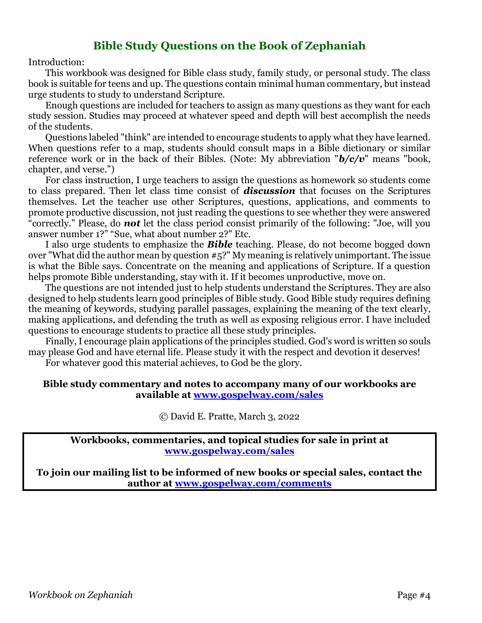### **Bible Study Questions on the Book of Zephaniah**

Introduction:

This workbook was designed for Bible class study, family study, or personal study. The class book is suitable for teens and up. The questions contain minimal human commentary, but instead urge students to study to understand Scripture.

Enough questions are included for teachers to assign as many questions as they want for each study session. Studies may proceed at whatever speed and depth will best accomplish the needs of the students.

Questions labeled "think" are intended to encourage students to apply what they have learned. When questions refer to a map, students should consult maps in a Bible dictionary or similar reference work or in the back of their Bibles. (Note: My abbreviation "*b/c/v*" means "book, chapter, and verse.")

For class instruction, I urge teachers to assign the questions as homework so students come to class prepared. Then let class time consist of *discussion* that focuses on the Scriptures themselves. Let the teacher use other Scriptures, questions, applications, and comments to promote productive discussion, not just reading the questions to see whether they were answered "correctly." Please, do *not* let the class period consist primarily of the following: "Joe, will you answer number 1?" "Sue, what about number 2?" Etc.

I also urge students to emphasize the *Bible* teaching. Please, do not become bogged down over "What did the author mean by question #5?" My meaning is relatively unimportant. The issue is what the Bible says. Concentrate on the meaning and applications of Scripture. If a question helps promote Bible understanding, stay with it. If it becomes unproductive, move on.

The questions are not intended just to help students understand the Scriptures. They are also designed to help students learn good principles of Bible study. Good Bible study requires defining the meaning of keywords, studying parallel passages, explaining the meaning of the text clearly, making applications, and defending the truth as well as exposing religious error. I have included questions to encourage students to practice all these study principles.

Finally, I encourage plain applications of the principles studied. God's word is written so souls may please God and have eternal life. Please study it with the respect and devotion it deserves!

For whatever good this material achieves, to God be the glory.

#### **Bible study commentary and notes to accompany many of our workbooks are available at [www.gospelway.com/sales](https://www.gospelway.com/sales)**

© David E. Pratte, March 3, 2022

**Workbooks, commentaries, and topical studies for sale in print at [www.gospelway.com/sales](https://www.gospelway.com/sales)**

**To join our mailing list to be informed of new books or special sales, contact the author at [www.gospelway.com/comments](http://www.gospelway.com/comments)**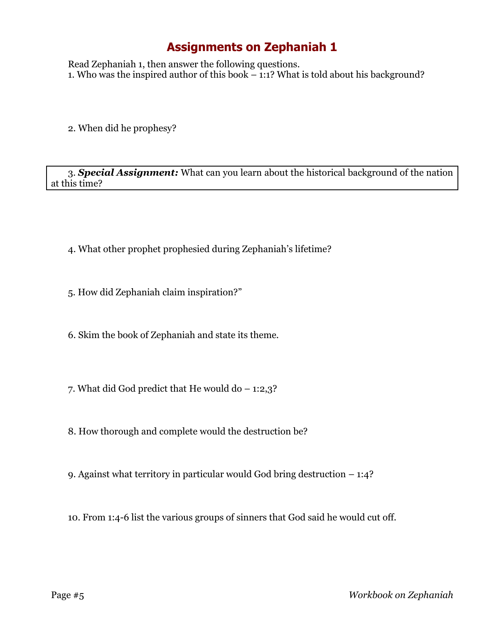## **Assignments on Zephaniah 1**

Read Zephaniah 1, then answer the following questions. 1. Who was the inspired author of this book – 1:1? What is told about his background?

2. When did he prophesy?

3. *Special Assignment:* What can you learn about the historical background of the nation at this time?

- 4. What other prophet prophesied during Zephaniah's lifetime?
- 5. How did Zephaniah claim inspiration?"
- 6. Skim the book of Zephaniah and state its theme.
- 7. What did God predict that He would do  $-1:2,3$ ?
- 8. How thorough and complete would the destruction be?
- 9. Against what territory in particular would God bring destruction 1:4?
- 10. From 1:4-6 list the various groups of sinners that God said he would cut off.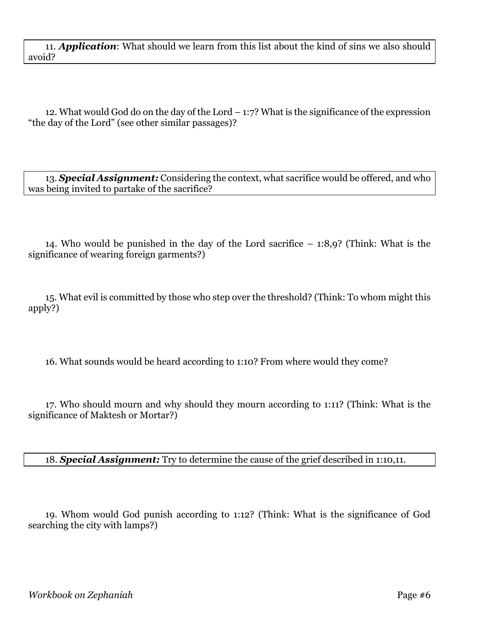11. *Application*: What should we learn from this list about the kind of sins we also should avoid?

12. What would God do on the day of the Lord – 1:7? What is the significance of the expression "the day of the Lord" (see other similar passages)?

13. *Special Assignment:* Considering the context, what sacrifice would be offered, and who was being invited to partake of the sacrifice?

14. Who would be punished in the day of the Lord sacrifice – 1:8,9? (Think: What is the significance of wearing foreign garments?)

15. What evil is committed by those who step over the threshold? (Think: To whom might this apply?)

16. What sounds would be heard according to 1:10? From where would they come?

17. Who should mourn and why should they mourn according to 1:11? (Think: What is the significance of Maktesh or Mortar?)

18. *Special Assignment:* Try to determine the cause of the grief described in 1:10,11.

19. Whom would God punish according to 1:12? (Think: What is the significance of God searching the city with lamps?)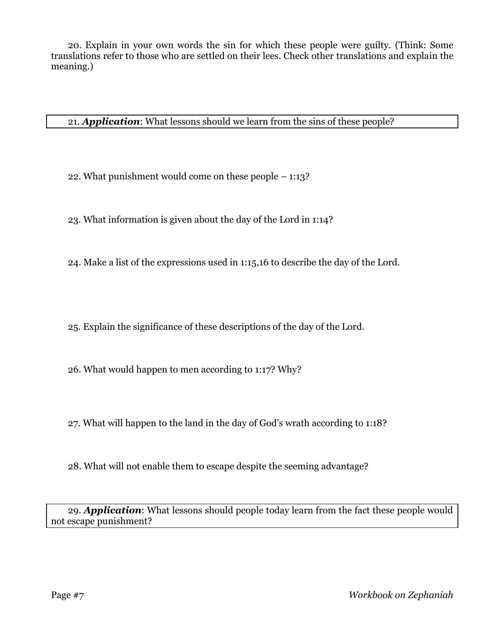20. Explain in your own words the sin for which these people were guilty. (Think: Some translations refer to those who are settled on their lees. Check other translations and explain the meaning.)

21. *Application*: What lessons should we learn from the sins of these people?

22. What punishment would come on these people – 1:13?

23. What information is given about the day of the Lord in 1:14?

24. Make a list of the expressions used in 1:15,16 to describe the day of the Lord.

25. Explain the significance of these descriptions of the day of the Lord.

26. What would happen to men according to 1:17? Why?

27. What will happen to the land in the day of God's wrath according to 1:18?

28. What will not enable them to escape despite the seeming advantage?

29. *Application*: What lessons should people today learn from the fact these people would not escape punishment?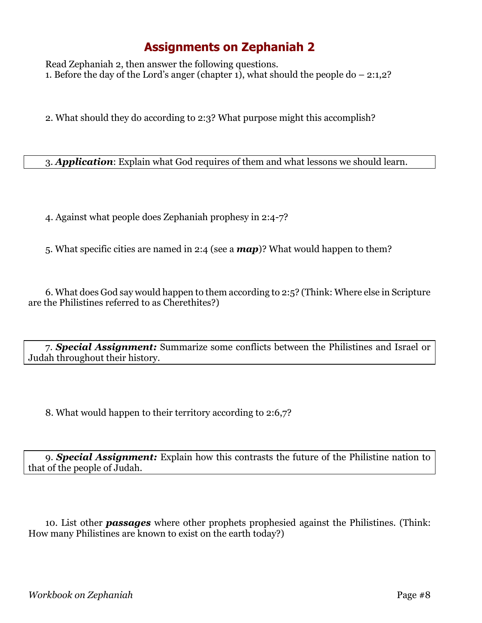## **Assignments on Zephaniah 2**

Read Zephaniah 2, then answer the following questions. 1. Before the day of the Lord's anger (chapter 1), what should the people do – 2:1,2?

2. What should they do according to 2:3? What purpose might this accomplish?

3. *Application*: Explain what God requires of them and what lessons we should learn.

4. Against what people does Zephaniah prophesy in 2:4-7?

5. What specific cities are named in 2:4 (see a *map*)? What would happen to them?

6. What does God say would happen to them according to 2:5? (Think: Where else in Scripture are the Philistines referred to as Cherethites?)

7. *Special Assignment:* Summarize some conflicts between the Philistines and Israel or Judah throughout their history.

8. What would happen to their territory according to 2:6,7?

9. *Special Assignment:* Explain how this contrasts the future of the Philistine nation to that of the people of Judah.

10. List other *passages* where other prophets prophesied against the Philistines. (Think: How many Philistines are known to exist on the earth today?)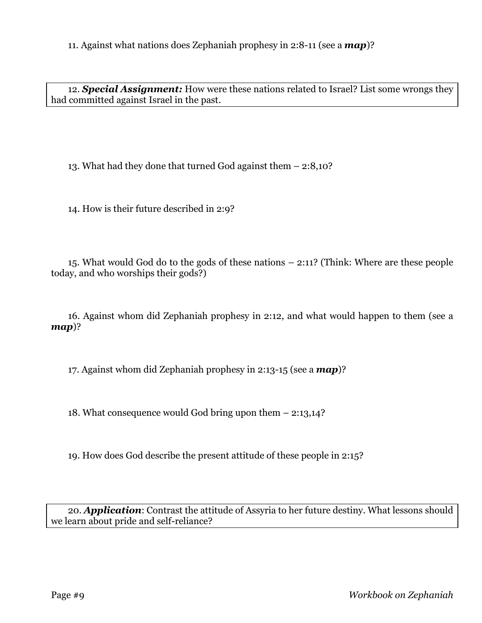11. Against what nations does Zephaniah prophesy in 2:8-11 (see a *map*)?

12. *Special Assignment:* How were these nations related to Israel? List some wrongs they had committed against Israel in the past.

13. What had they done that turned God against them – 2:8,10?

14. How is their future described in 2:9?

15. What would God do to the gods of these nations – 2:11? (Think: Where are these people today, and who worships their gods?)

16. Against whom did Zephaniah prophesy in 2:12, and what would happen to them (see a *map*)?

17. Against whom did Zephaniah prophesy in 2:13-15 (see a *map*)?

18. What consequence would God bring upon them – 2:13,14?

19. How does God describe the present attitude of these people in 2:15?

20. *Application*: Contrast the attitude of Assyria to her future destiny. What lessons should we learn about pride and self-reliance?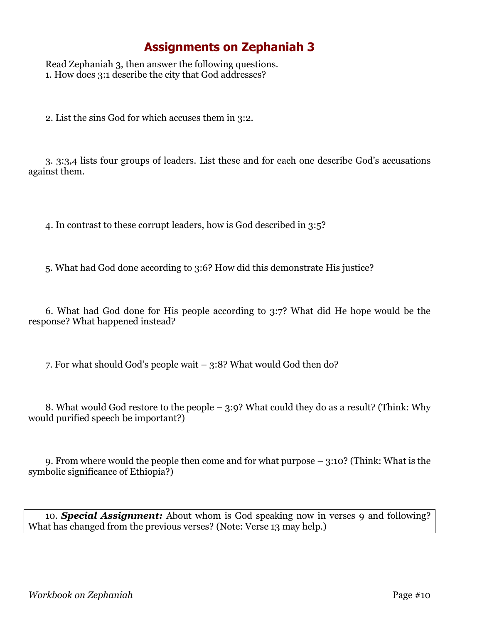## **Assignments on Zephaniah 3**

Read Zephaniah 3, then answer the following questions. 1. How does 3:1 describe the city that God addresses?

2. List the sins God for which accuses them in 3:2.

3. 3:3,4 lists four groups of leaders. List these and for each one describe God's accusations against them.

4. In contrast to these corrupt leaders, how is God described in 3:5?

5. What had God done according to 3:6? How did this demonstrate His justice?

6. What had God done for His people according to 3:7? What did He hope would be the response? What happened instead?

7. For what should God's people wait – 3:8? What would God then do?

8. What would God restore to the people – 3:9? What could they do as a result? (Think: Why would purified speech be important?)

9. From where would the people then come and for what purpose – 3:10? (Think: What is the symbolic significance of Ethiopia?)

10. *Special Assignment:* About whom is God speaking now in verses 9 and following? What has changed from the previous verses? (Note: Verse 13 may help.)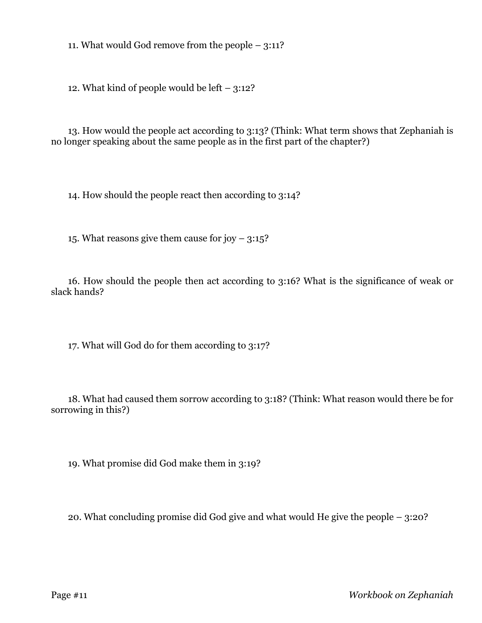11. What would God remove from the people – 3:11?

12. What kind of people would be left – 3:12?

13. How would the people act according to 3:13? (Think: What term shows that Zephaniah is no longer speaking about the same people as in the first part of the chapter?)

14. How should the people react then according to 3:14?

15. What reasons give them cause for joy  $-3:15$ ?

16. How should the people then act according to 3:16? What is the significance of weak or slack hands?

17. What will God do for them according to 3:17?

18. What had caused them sorrow according to 3:18? (Think: What reason would there be for sorrowing in this?)

19. What promise did God make them in 3:19?

20. What concluding promise did God give and what would He give the people – 3:20?